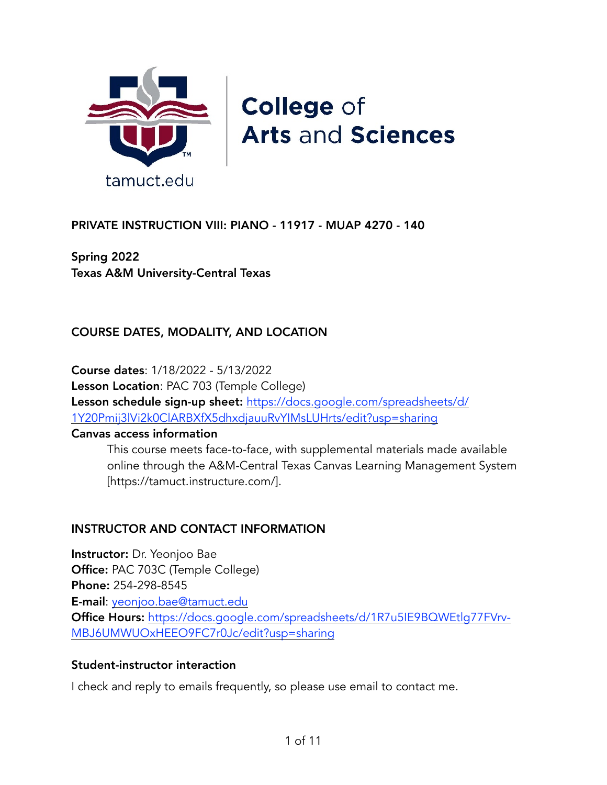

# **College of Arts and Sciences**

## PRIVATE INSTRUCTION VIII: PIANO - 11917 - MUAP 4270 - 140

Spring 2022 Texas A&M University-Central Texas

## COURSE DATES, MODALITY, AND LOCATION

Course dates: 1/18/2022 - 5/13/2022 Lesson Location: PAC 703 (Temple College) Lesson schedule sign-up sheet: https://docs.google.com/spreadsheets/d/ 1Y20Pmij3lVi2k0ClARBXfX5dhxdjauuRvYIMsLUHrts/edit?usp=sharing

#### Canvas access information

This course meets face-to-face, with supplemental materials made available online through the A&M-Central Texas Canvas Learning Management System [https://tamuct.instructure.com/].

#### INSTRUCTOR AND CONTACT INFORMATION

Instructor: Dr. Yeonjoo Bae Office: PAC 703C (Temple College) Phone: 254-298-8545 E-mail: yeonjoo.bae@tamuct.edu Office Hours: [https://docs.google.com/spreadsheets/d/1R7u5IE9BQWEtlg77FVrv-](https://docs.google.com/spreadsheets/d/1R7u5IE9BQWEtlg77FVrv-MBJ6UMWUOxHEEO9FC7r0Jc/edit?usp=sharing)[MBJ6UMWUOxHEEO9FC7r0Jc/edit?usp=sharing](https://docs.google.com/spreadsheets/d/1R7u5IE9BQWEtlg77FVrv-MBJ6UMWUOxHEEO9FC7r0Jc/edit?usp=sharing)

#### Student-instructor interaction

I check and reply to emails frequently, so please use email to contact me.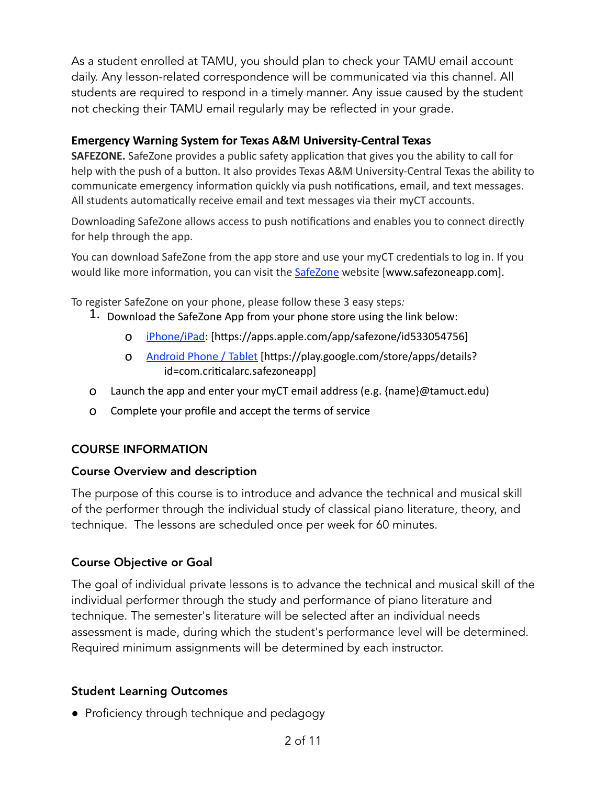As a student enrolled at TAMU, you should plan to check your TAMU email account daily. Any lesson-related correspondence will be communicated via this channel. All students are required to respond in a timely manner. Any issue caused by the student not checking their TAMU email regularly may be reflected in your grade.

#### **Emergency Warning System for Texas A&M University-Central Texas**

**SAFEZONE.** SafeZone provides a public safety application that gives you the ability to call for help with the push of a button. It also provides Texas A&M University-Central Texas the ability to communicate emergency information quickly via push notifications, email, and text messages. All students automatically receive email and text messages via their myCT accounts.

Downloading SafeZone allows access to push notifications and enables you to connect directly for help through the app.

You can download SafeZone from the app store and use your myCT credentials to log in. If you would like more information, you can visit the **SafeZone** website [www.safezoneapp.com].

To register SafeZone on your phone, please follow these 3 easy steps*:* 

- 1. Download the SafeZone App from your phone store using the link below:
	- o [iPhone/iPad:](https://apps.apple.com/app/safezone/id533054756%22%20%5Ct%20%22_blank) [https://apps.apple.com/app/safezone/id533054756]
	- o [Android Phone / Tablet](https://play.google.com/store/apps/details?id=com.criticalarc.safezoneapp%22%20%5Ct%20%22_blank) [https://play.google.com/store/apps/details? id=com.criticalarc.safezoneapp]
- o Launch the app and enter your myCT email address (e.g. {name}@tamuct.edu)
- o Complete your profile and accept the terms of service

#### COURSE INFORMATION

#### Course Overview and description

The purpose of this course is to introduce and advance the technical and musical skill of the performer through the individual study of classical piano literature, theory, and technique. The lessons are scheduled once per week for 60 minutes.

#### Course Objective or Goal

The goal of individual private lessons is to advance the technical and musical skill of the individual performer through the study and performance of piano literature and technique. The semester's literature will be selected after an individual needs assessment is made, during which the student's performance level will be determined. Required minimum assignments will be determined by each instructor.

#### Student Learning Outcomes

● Proficiency through technique and pedagogy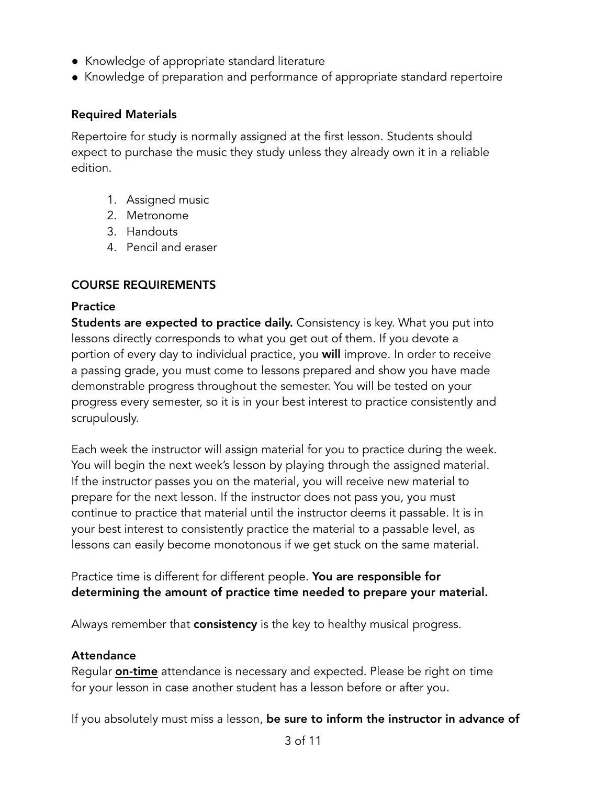- Knowledge of appropriate standard literature
- Knowledge of preparation and performance of appropriate standard repertoire

#### Required Materials

Repertoire for study is normally assigned at the first lesson. Students should expect to purchase the music they study unless they already own it in a reliable edition.

- 1. Assigned music
- 2. Metronome
- 3. Handouts
- 4. Pencil and eraser

## COURSE REQUIREMENTS

#### **Practice**

Students are expected to practice daily. Consistency is key. What you put into lessons directly corresponds to what you get out of them. If you devote a portion of every day to individual practice, you will improve. In order to receive a passing grade, you must come to lessons prepared and show you have made demonstrable progress throughout the semester. You will be tested on your progress every semester, so it is in your best interest to practice consistently and scrupulously.

Each week the instructor will assign material for you to practice during the week. You will begin the next week's lesson by playing through the assigned material. If the instructor passes you on the material, you will receive new material to prepare for the next lesson. If the instructor does not pass you, you must continue to practice that material until the instructor deems it passable. It is in your best interest to consistently practice the material to a passable level, as lessons can easily become monotonous if we get stuck on the same material.

Practice time is different for different people. You are responsible for determining the amount of practice time needed to prepare your material.

Always remember that **consistency** is the key to healthy musical progress.

#### **Attendance**

Regular **on-time** attendance is necessary and expected. Please be right on time for your lesson in case another student has a lesson before or after you.

If you absolutely must miss a lesson, be sure to inform the instructor in advance of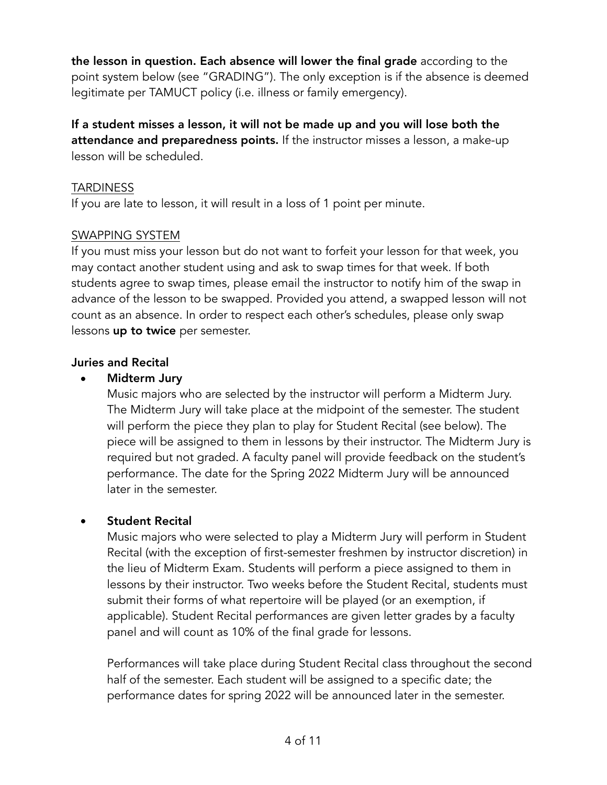the lesson in question. Each absence will lower the final grade according to the point system below (see "GRADING"). The only exception is if the absence is deemed legitimate per TAMUCT policy (i.e. illness or family emergency).

If a student misses a lesson, it will not be made up and you will lose both the attendance and preparedness points. If the instructor misses a lesson, a make-up lesson will be scheduled.

#### **TARDINESS**

If you are late to lesson, it will result in a loss of 1 point per minute.

#### SWAPPING SYSTEM

If you must miss your lesson but do not want to forfeit your lesson for that week, you may contact another student using and ask to swap times for that week. If both students agree to swap times, please email the instructor to notify him of the swap in advance of the lesson to be swapped. Provided you attend, a swapped lesson will not count as an absence. In order to respect each other's schedules, please only swap lessons **up to twice** per semester.

## Juries and Recital

## • Midterm Jury

Music majors who are selected by the instructor will perform a Midterm Jury. The Midterm Jury will take place at the midpoint of the semester. The student will perform the piece they plan to play for Student Recital (see below). The piece will be assigned to them in lessons by their instructor. The Midterm Jury is required but not graded. A faculty panel will provide feedback on the student's performance. The date for the Spring 2022 Midterm Jury will be announced later in the semester.

## **Student Recital**

Music majors who were selected to play a Midterm Jury will perform in Student Recital (with the exception of first-semester freshmen by instructor discretion) in the lieu of Midterm Exam. Students will perform a piece assigned to them in lessons by their instructor. Two weeks before the Student Recital, students must submit their forms of what repertoire will be played (or an exemption, if applicable). Student Recital performances are given letter grades by a faculty panel and will count as 10% of the final grade for lessons.

Performances will take place during Student Recital class throughout the second half of the semester. Each student will be assigned to a specific date; the performance dates for spring 2022 will be announced later in the semester.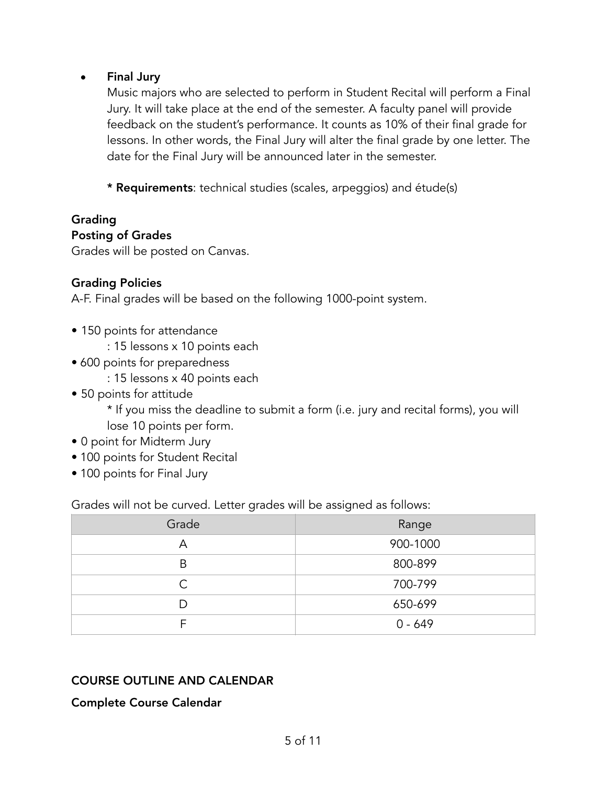#### • Final Jury

Music majors who are selected to perform in Student Recital will perform a Final Jury. It will take place at the end of the semester. A faculty panel will provide feedback on the student's performance. It counts as 10% of their final grade for lessons. In other words, the Final Jury will alter the final grade by one letter. The date for the Final Jury will be announced later in the semester.

\* Requirements: technical studies (scales, arpeggios) and étude(s)

#### Grading Posting of Grades

Grades will be posted on Canvas.

#### Grading Policies

A-F. Final grades will be based on the following 1000-point system.

- 150 points for attendance
	- : 15 lessons x 10 points each
- 600 points for preparedness
	- : 15 lessons x 40 points each
- 50 points for attitude

\* If you miss the deadline to submit a form (i.e. jury and recital forms), you will lose 10 points per form.

- 0 point for Midterm Jury
- 100 points for Student Recital
- 100 points for Final Jury

Grades will not be curved. Letter grades will be assigned as follows:

| Grade | Range     |
|-------|-----------|
| Α     | 900-1000  |
| B     | 800-899   |
| ⌒     | 700-799   |
|       | 650-699   |
|       | $0 - 649$ |

## COURSE OUTLINE AND CALENDAR

Complete Course Calendar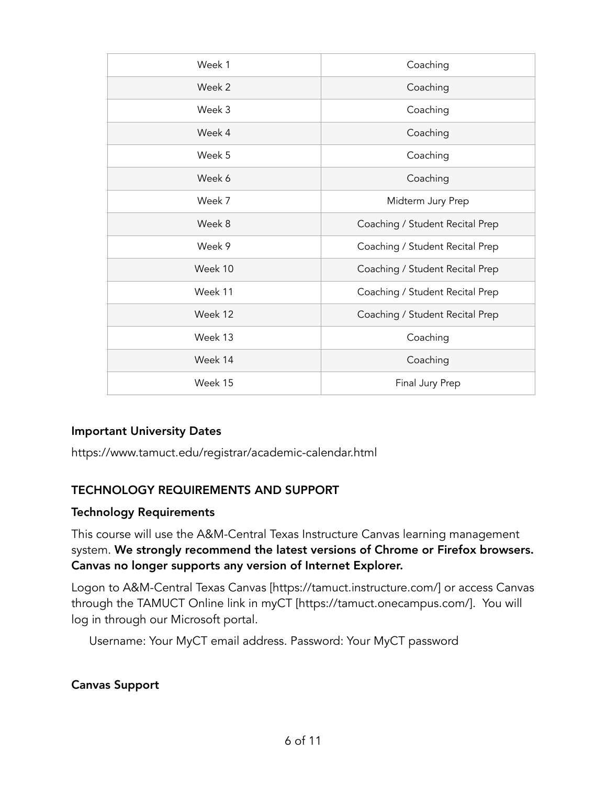| Week 1  | Coaching                        |
|---------|---------------------------------|
| Week 2  | Coaching                        |
| Week 3  | Coaching                        |
| Week 4  | Coaching                        |
| Week 5  | Coaching                        |
| Week 6  | Coaching                        |
| Week 7  | Midterm Jury Prep               |
| Week 8  | Coaching / Student Recital Prep |
| Week 9  | Coaching / Student Recital Prep |
| Week 10 | Coaching / Student Recital Prep |
| Week 11 | Coaching / Student Recital Prep |
| Week 12 | Coaching / Student Recital Prep |
| Week 13 | Coaching                        |
| Week 14 | Coaching                        |
| Week 15 | Final Jury Prep                 |

#### Important University Dates

https://www.tamuct.edu/registrar/academic-calendar.html

#### TECHNOLOGY REQUIREMENTS AND SUPPORT

#### Technology Requirements

This course will use the A&M-Central Texas Instructure Canvas learning management system. We strongly recommend the latest versions of Chrome or Firefox browsers. Canvas no longer supports any version of Internet Explorer.

Logon to A&M-Central Texas Canvas [https://tamuct.instructure.com/] or access Canvas through the TAMUCT Online link in myCT [https://tamuct.onecampus.com/]. You will log in through our Microsoft portal.

Username: Your MyCT email address. Password: Your MyCT password

#### Canvas Support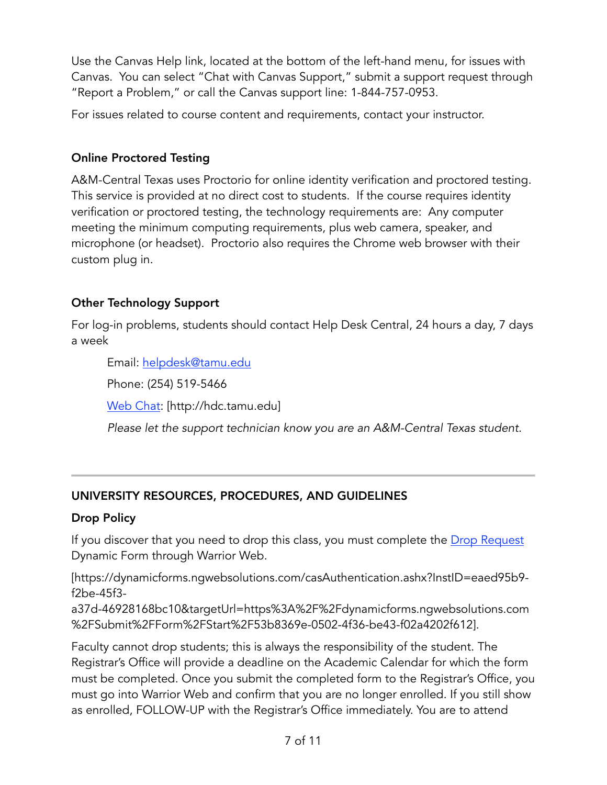Use the Canvas Help link, located at the bottom of the left-hand menu, for issues with Canvas. You can select "Chat with Canvas Support," submit a support request through "Report a Problem," or call the Canvas support line: 1-844-757-0953.

For issues related to course content and requirements, contact your instructor.

## Online Proctored Testing

A&M-Central Texas uses Proctorio for online identity verification and proctored testing. This service is provided at no direct cost to students. If the course requires identity verification or proctored testing, the technology requirements are: Any computer meeting the minimum computing requirements, plus web camera, speaker, and microphone (or headset). Proctorio also requires the Chrome web browser with their custom plug in.

## Other Technology Support

For log-in problems, students should contact Help Desk Central, 24 hours a day, 7 days a week

Email: [helpdesk@tamu.edu](mailto:helpdesk@tamu.edu)

Phone: (254) 519-5466

[Web Chat:](http://hdc.tamu.edu) [http://hdc.tamu.edu]

*Please let the support technician know you are an A&M-Central Texas student.*

## UNIVERSITY RESOURCES, PROCEDURES, AND GUIDELINES

## Drop Policy

If you discover that you need to drop this class, you must complete the [Drop Request](https://dynamicforms.ngwebsolutions.com/casAuthentication.ashx?InstID=eaed95b9-f2be-45f3-a37d-46928168bc10&targetUrl=https%3A%2F%2Fdynamicforms.ngwebsolutions.com%2FSubmit%2FForm%2FStart%2F53b8369e-0502-4f36-be43-f02a4202f612) Dynamic Form through Warrior Web.

[https://dynamicforms.ngwebsolutions.com/casAuthentication.ashx?InstID=eaed95b9 f2be-45f3-

a37d-46928168bc10&targetUrl=https%3A%2F%2Fdynamicforms.ngwebsolutions.com %2FSubmit%2FForm%2FStart%2F53b8369e-0502-4f36-be43-f02a4202f612].

Faculty cannot drop students; this is always the responsibility of the student. The Registrar's Office will provide a deadline on the Academic Calendar for which the form must be completed. Once you submit the completed form to the Registrar's Office, you must go into Warrior Web and confirm that you are no longer enrolled. If you still show as enrolled, FOLLOW-UP with the Registrar's Office immediately. You are to attend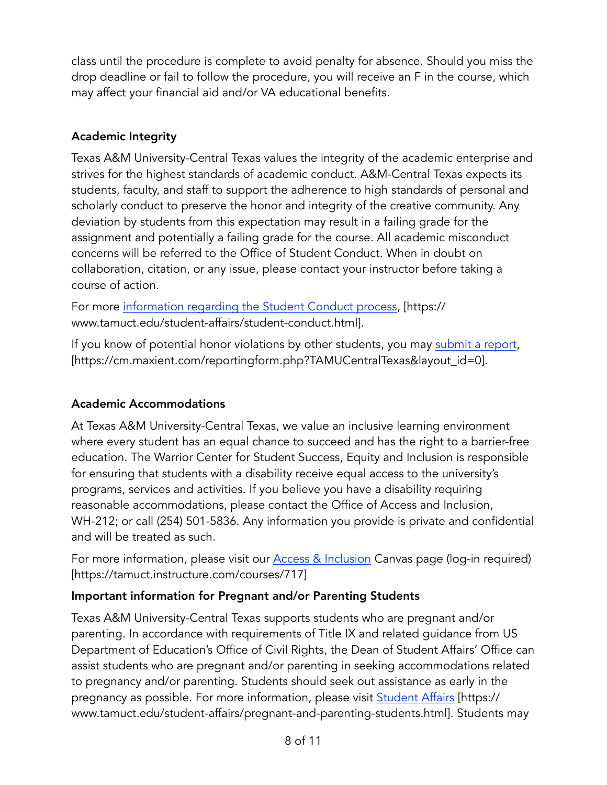class until the procedure is complete to avoid penalty for absence. Should you miss the drop deadline or fail to follow the procedure, you will receive an F in the course, which may affect your financial aid and/or VA educational benefits.

# Academic Integrity

Texas A&M University-Central Texas values the integrity of the academic enterprise and strives for the highest standards of academic conduct. A&M-Central Texas expects its students, faculty, and staff to support the adherence to high standards of personal and scholarly conduct to preserve the honor and integrity of the creative community. Any deviation by students from this expectation may result in a failing grade for the assignment and potentially a failing grade for the course. All academic misconduct concerns will be referred to the Office of Student Conduct. When in doubt on collaboration, citation, or any issue, please contact your instructor before taking a course of action.

For more [information regarding the Student Conduct process,](https://nam04.safelinks.protection.outlook.com/?url=ht) [https:// www.tamuct.edu/student-affairs/student-conduct.html].

If you know of potential honor violations by other students, you may [submit a report](https://nam04.safelinks.protection.outlook.com/?url=https://cm.maxient.com/reportingform.php?TAMUCentralTexas&layout_id=0&data=04%7C01%7Clisa.bunkowski@tamuct.edu%7Ccfb6e486f24745f53e1a08d910055cb2%7C9eed4e3000f744849ff193ad800), [https://cm.maxient.com/reportingform.php?TAMUCentralTexas&layout\_id=0].

# Academic Accommodations

At Texas A&M University-Central Texas, we value an inclusive learning environment where every student has an equal chance to succeed and has the right to a barrier-free education. The Warrior Center for Student Success, Equity and Inclusion is responsible for ensuring that students with a disability receive equal access to the university's programs, services and activities. If you believe you have a disability requiring reasonable accommodations, please contact the Office of Access and Inclusion, WH-212; or call (254) 501-5836. Any information you provide is private and confidential and will be treated as such.

For more information, please visit our **[Access & Inclusion](https://tamuct.instructure.com/courses/717)** Canvas page (log-in required) [https://tamuct.instructure.com/courses/717]

## Important information for Pregnant and/or Parenting Students

Texas A&M University-Central Texas supports students who are pregnant and/or parenting. In accordance with requirements of Title IX and related guidance from US Department of Education's Office of Civil Rights, the Dean of Student Affairs' Office can assist students who are pregnant and/or parenting in seeking accommodations related to pregnancy and/or parenting. Students should seek out assistance as early in the pregnancy as possible. For more information, please visit [Student Affairs](https://www.tamuct.edu/student-affairs/pregnant-and-parenting-students.html) [https:// www.tamuct.edu/student-affairs/pregnant-and-parenting-students.html]. Students may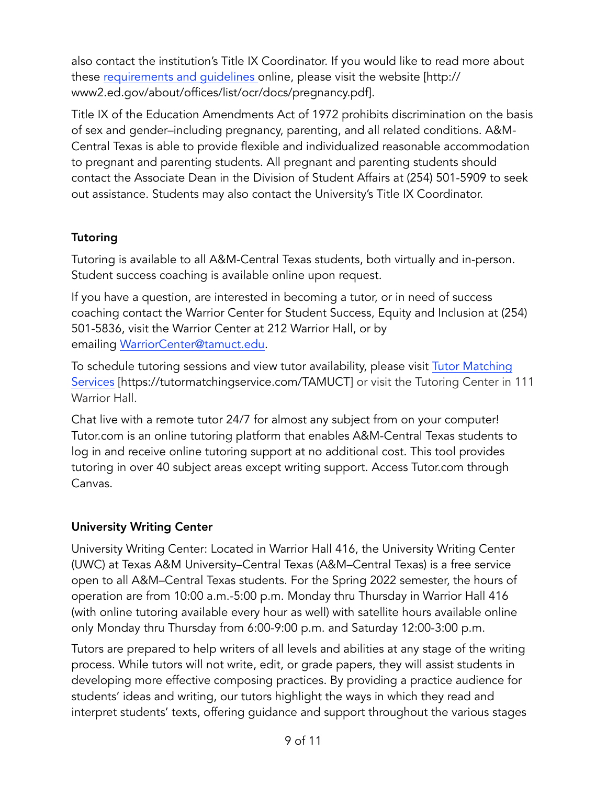also contact the institution's Title IX Coordinator. If you would like to read more about these [requirements and guidelines](http://www2.ed.gov/about/offices/list/ocr/docs/pregnancy.pdf) online, please visit the website [http:// www2.ed.gov/about/offices/list/ocr/docs/pregnancy.pdf].

Title IX of the Education Amendments Act of 1972 prohibits discrimination on the basis of sex and gender–including pregnancy, parenting, and all related conditions. A&M-Central Texas is able to provide flexible and individualized reasonable accommodation to pregnant and parenting students. All pregnant and parenting students should contact the Associate Dean in the Division of Student Affairs at (254) 501-5909 to seek out assistance. Students may also contact the University's Title IX Coordinator.

# **Tutoring**

Tutoring is available to all A&M-Central Texas students, both virtually and in-person. Student success coaching is available online upon request.

If you have a question, are interested in becoming a tutor, or in need of success coaching contact the Warrior Center for Student Success, Equity and Inclusion at (254) 501-5836, visit the Warrior Center at 212 Warrior Hall, or by emailing [WarriorCenter@tamuct.edu](mailto:WarriorCenter@tamuct.edu%22%20%5Ct%20%22_blank).

To schedule tutoring sessions and view tutor availability, please visit Tutor Matching [Services](https://tutormatchingservice.com/TAMUCT) [https://tutormatchingservice.com/TAMUCT] or visit the Tutoring Center in 111 Warrior Hall.

Chat live with a remote tutor 24/7 for almost any subject from on your computer! Tutor.com is an online tutoring platform that enables A&M-Central Texas students to log in and receive online tutoring support at no additional cost. This tool provides tutoring in over 40 subject areas except writing support. Access Tutor.com through Canvas.

## University Writing Center

University Writing Center: Located in Warrior Hall 416, the University Writing Center (UWC) at Texas A&M University–Central Texas (A&M–Central Texas) is a free service open to all A&M–Central Texas students. For the Spring 2022 semester, the hours of operation are from 10:00 a.m.-5:00 p.m. Monday thru Thursday in Warrior Hall 416 (with online tutoring available every hour as well) with satellite hours available online only Monday thru Thursday from 6:00-9:00 p.m. and Saturday 12:00-3:00 p.m.

Tutors are prepared to help writers of all levels and abilities at any stage of the writing process. While tutors will not write, edit, or grade papers, they will assist students in developing more effective composing practices. By providing a practice audience for students' ideas and writing, our tutors highlight the ways in which they read and interpret students' texts, offering guidance and support throughout the various stages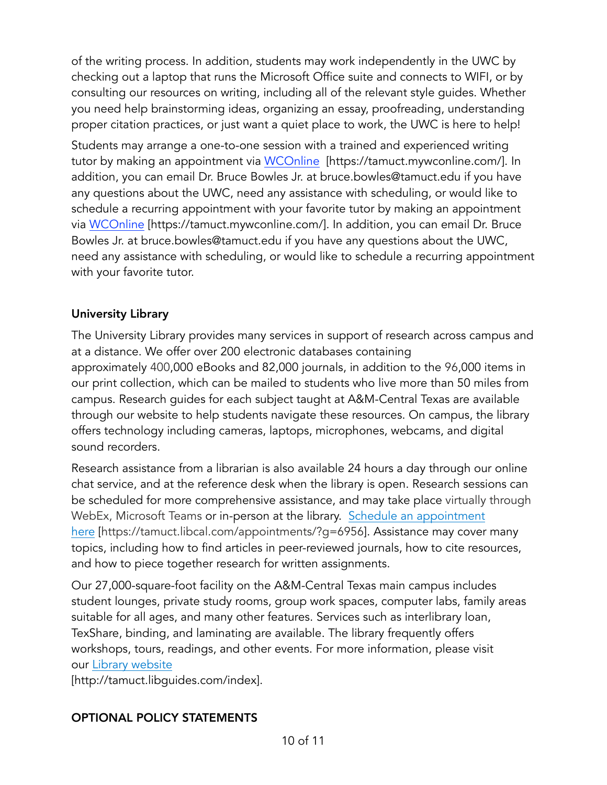of the writing process. In addition, students may work independently in the UWC by checking out a laptop that runs the Microsoft Office suite and connects to WIFI, or by consulting our resources on writing, including all of the relevant style guides. Whether you need help brainstorming ideas, organizing an essay, proofreading, understanding proper citation practices, or just want a quiet place to work, the UWC is here to help!

Students may arrange a one-to-one session with a trained and experienced writing tutor by making an appointment via [WCOnline](https://tamuct.mywconline.com/) [https://tamuct.mywconline.com/]. In addition, you can email Dr. Bruce Bowles Jr. at bruce.bowles@tamuct.edu if you have any questions about the UWC, need any assistance with scheduling, or would like to schedule a recurring appointment with your favorite tutor by making an appointment via [WCOnline](https://tamuct.mywconline.com/) [https://tamuct.mywconline.com/]. In addition, you can email Dr. Bruce Bowles Jr. at bruce.bowles@tamuct.edu if you have any questions about the UWC, need any assistance with scheduling, or would like to schedule a recurring appointment with your favorite tutor.

# University Library

The University Library provides many services in support of research across campus and at a distance. We offer over 200 electronic databases containing approximately 400,000 eBooks and 82,000 journals, in addition to the 96,000 items in our print collection, which can be mailed to students who live more than 50 miles from campus. Research guides for each subject taught at A&M-Central Texas are available through our website to help students navigate these resources. On campus, the library offers technology including cameras, laptops, microphones, webcams, and digital sound recorders.

Research assistance from a librarian is also available 24 hours a day through our online chat service, and at the reference desk when the library is open. Research sessions can be scheduled for more comprehensive assistance, and may take place virtually through WebEx, Microsoft Teams or in-person at the library. Schedule an appointment [here](https://nam04.safelinks.protection.outlook.com/?url=https://tamuct.libcal.com/appointments/?g=6956&data=04%7C01%7Clisa.bunkowski@tamuct.edu%7Cde2c07d9f5804f09518008d9ab7ba6ff%7C9eed4e3000f744849ff193ad8005acec%7C0%7C0%7C6377293) [https://tamuct.libcal.com/appointments/?g=6956]. Assistance may cover many topics, including how to find articles in peer-reviewed journals, how to cite resources, and how to piece together research for written assignments.

Our 27,000-square-foot facility on the A&M-Central Texas main campus includes student lounges, private study rooms, group work spaces, computer labs, family areas suitable for all ages, and many other features. Services such as interlibrary loan, TexShare, binding, and laminating are available. The library frequently offers workshops, tours, readings, and other events. For more information, please visit our [Library website](https://nam04.safelinks.protection.outlook.com/?ur)

[http://tamuct.libguides.com/index].

## OPTIONAL POLICY STATEMENTS